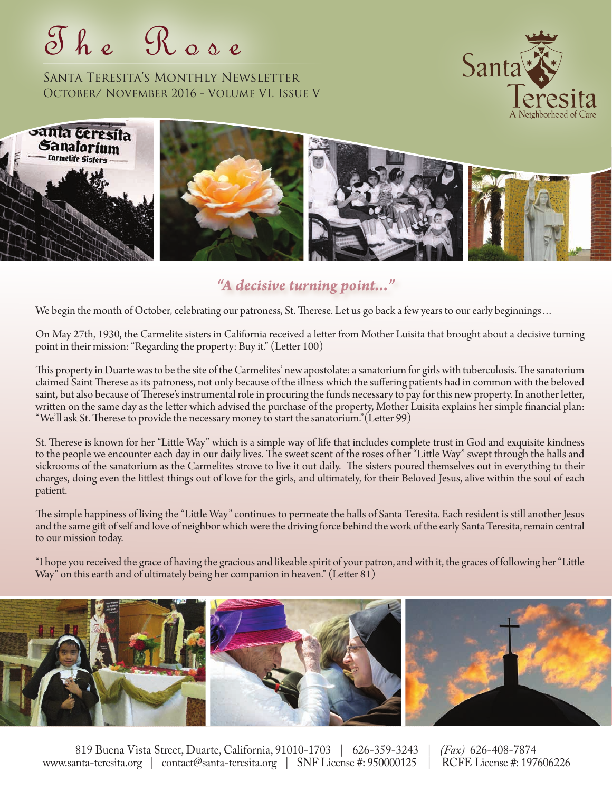T h e R o s e

Santa Teresita's Monthly Newsletter October/ November 2016 - Volume VI, Issue V





### *"A decisive turning point..."*

We begin the month of October, celebrating our patroness, St. Therese. Let us go back a few years to our early beginnings…

On May 27th, 1930, the Carmelite sisters in California received a letter from Mother Luisita that brought about a decisive turning point in their mission: "Regarding the property: Buy it." (Letter 100)

This property in Duarte was to be the site of the Carmelites' new apostolate: a sanatorium for girls with tuberculosis. The sanatorium claimed Saint Therese as its patroness, not only because of the illness which the suffering patients had in common with the beloved saint, but also because of Therese's instrumental role in procuring the funds necessary to pay for this new property. In another letter, written on the same day as the letter which advised the purchase of the property, Mother Luisita explains her simple financial plan: "We'll ask St. Therese to provide the necessary money to start the sanatorium."(Letter 99)

St. Therese is known for her "Little Way" which is a simple way of life that includes complete trust in God and exquisite kindness to the people we encounter each day in our daily lives. The sweet scent of the roses of her "Little Way" swept through the halls and sickrooms of the sanatorium as the Carmelites strove to live it out daily. The sisters poured themselves out in everything to their charges, doing even the littlest things out of love for the girls, and ultimately, for their Beloved Jesus, alive within the soul of each patient.

The simple happiness of living the "Little Way" continues to permeate the halls of Santa Teresita. Each resident is still another Jesus and the same gift of self and love of neighbor which were the driving force behind the work of the early Santa Teresita, remain central to our mission today.

"I hope you received the grace of having the gracious and likeable spirit of your patron, and with it, the graces of following her "Little Way" on this earth and of ultimately being her companion in heaven." (Letter 81)



819 Buena Vista Street, Duarte, California, 91010-1703 | 626-359-3243 | *(Fax)* 626-408-7874 www.santa-teresita.org | contact@santa-teresita.org | SNF License #: 950000125